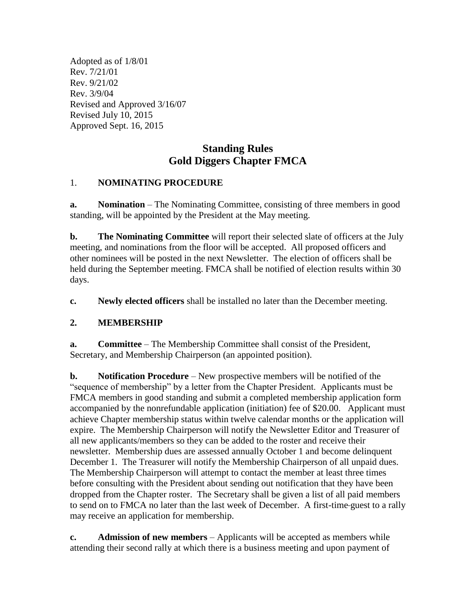Adopted as of 1/8/01 Rev. 7/21/01 Rev. 9/21/02 Rev. 3/9/04 Revised and Approved 3/16/07 Revised July 10, 2015 Approved Sept. 16, 2015

# **Standing Rules Gold Diggers Chapter FMCA**

#### 1. **NOMINATING PROCEDURE**

**a. Nomination** – The Nominating Committee, consisting of three members in good standing, will be appointed by the President at the May meeting.

**b. The Nominating Committee** will report their selected slate of officers at the July meeting, and nominations from the floor will be accepted. All proposed officers and other nominees will be posted in the next Newsletter. The election of officers shall be held during the September meeting. FMCA shall be notified of election results within 30 days.

**c. Newly elected officers** shall be installed no later than the December meeting.

### **2. MEMBERSHIP**

**a. Committee** – The Membership Committee shall consist of the President, Secretary, and Membership Chairperson (an appointed position).

**b. Notification Procedure** – New prospective members will be notified of the "sequence of membership" by a letter from the Chapter President. Applicants must be FMCA members in good standing and submit a completed membership application form accompanied by the nonrefundable application (initiation) fee of \$20.00. Applicant must achieve Chapter membership status within twelve calendar months or the application will expire. The Membership Chairperson will notify the Newsletter Editor and Treasurer of all new applicants/members so they can be added to the roster and receive their newsletter. Membership dues are assessed annually October 1 and become delinquent December 1. The Treasurer will notify the Membership Chairperson of all unpaid dues. The Membership Chairperson will attempt to contact the member at least three times before consulting with the President about sending out notification that they have been dropped from the Chapter roster. The Secretary shall be given a list of all paid members to send on to FMCA no later than the last week of December. A first-time guest to a rally may receive an application for membership.

**c. Admission of new members** – Applicants will be accepted as members while attending their second rally at which there is a business meeting and upon payment of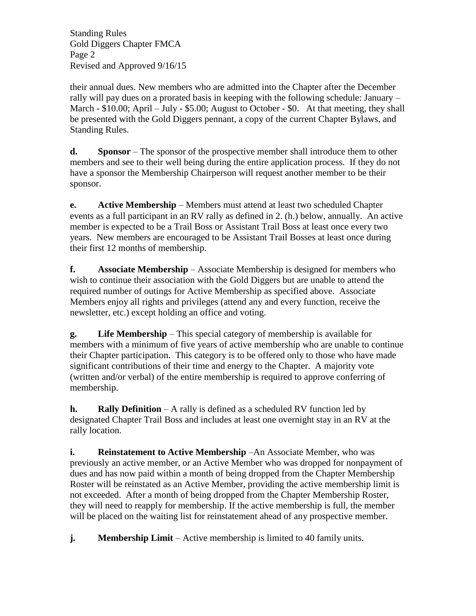Standing Rules Gold Diggers Chapter FMCA Page 2 Revised and Approved 9/16/15

their annual dues. New members who are admitted into the Chapter after the December rally will pay dues on a prorated basis in keeping with the following schedule: January – March - \$10.00; April – July - \$5.00; August to October - \$0. At that meeting, they shall be presented with the Gold Diggers pennant, a copy of the current Chapter Bylaws, and Standing Rules.

**d. Sponsor** – The sponsor of the prospective member shall introduce them to other members and see to their well being during the entire application process. If they do not have a sponsor the Membership Chairperson will request another member to be their sponsor.

**e. Active Membership** – Members must attend at least two scheduled Chapter events as a full participant in an RV rally as defined in 2. (h.) below, annually. An active member is expected to be a Trail Boss or Assistant Trail Boss at least once every two years. New members are encouraged to be Assistant Trail Bosses at least once during their first 12 months of membership.

**f. Associate Membership** – Associate Membership is designed for members who wish to continue their association with the Gold Diggers but are unable to attend the required number of outings for Active Membership as specified above. Associate Members enjoy all rights and privileges (attend any and every function, receive the newsletter, etc.) except holding an office and voting.

**g. Life Membership** – This special category of membership is available for members with a minimum of five years of active membership who are unable to continue their Chapter participation. This category is to be offered only to those who have made significant contributions of their time and energy to the Chapter. A majority vote (written and/or verbal) of the entire membership is required to approve conferring of membership.

**h. Rally Definition** – A rally is defined as a scheduled RV function led by designated Chapter Trail Boss and includes at least one overnight stay in an RV at the rally location.

**i. Reinstatement to Active Membership** –An Associate Member, who was previously an active member, or an Active Member who was dropped for nonpayment of dues and has now paid within a month of being dropped from the Chapter Membership Roster will be reinstated as an Active Member, providing the active membership limit is not exceeded. After a month of being dropped from the Chapter Membership Roster, they will need to reapply for membership. If the active membership is full, the member will be placed on the waiting list for reinstatement ahead of any prospective member.

**j. Membership Limit** – Active membership is limited to 40 family units.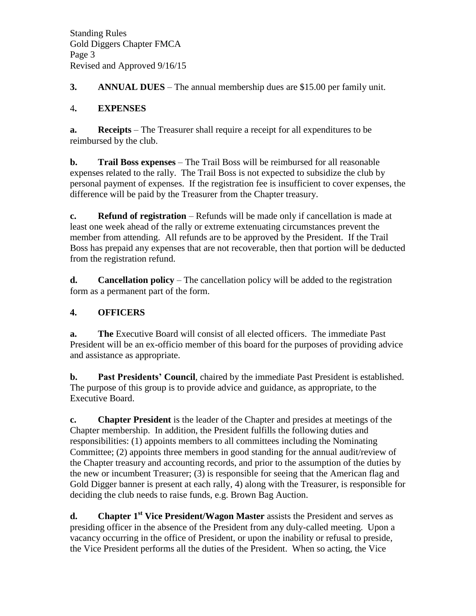**3. ANNUAL DUES** – The annual membership dues are \$15.00 per family unit.

### 4**. EXPENSES**

**a. Receipts** – The Treasurer shall require a receipt for all expenditures to be reimbursed by the club.

**b. Trail Boss expenses** – The Trail Boss will be reimbursed for all reasonable expenses related to the rally. The Trail Boss is not expected to subsidize the club by personal payment of expenses. If the registration fee is insufficient to cover expenses, the difference will be paid by the Treasurer from the Chapter treasury.

**c. Refund of registration** – Refunds will be made only if cancellation is made at least one week ahead of the rally or extreme extenuating circumstances prevent the member from attending. All refunds are to be approved by the President. If the Trail Boss has prepaid any expenses that are not recoverable, then that portion will be deducted from the registration refund.

**d. Cancellation policy** – The cancellation policy will be added to the registration form as a permanent part of the form.

## **4. OFFICERS**

**a. The** Executive Board will consist of all elected officers. The immediate Past President will be an ex-officio member of this board for the purposes of providing advice and assistance as appropriate.

**b. Past Presidents' Council**, chaired by the immediate Past President is established. The purpose of this group is to provide advice and guidance, as appropriate, to the Executive Board.

**c. Chapter President** is the leader of the Chapter and presides at meetings of the Chapter membership. In addition, the President fulfills the following duties and responsibilities: (1) appoints members to all committees including the Nominating Committee; (2) appoints three members in good standing for the annual audit/review of the Chapter treasury and accounting records, and prior to the assumption of the duties by the new or incumbent Treasurer; (3) is responsible for seeing that the American flag and Gold Digger banner is present at each rally, 4) along with the Treasurer, is responsible for deciding the club needs to raise funds, e.g. Brown Bag Auction.

**d. Chapter 1st Vice President/Wagon Master** assists the President and serves as presiding officer in the absence of the President from any duly-called meeting. Upon a vacancy occurring in the office of President, or upon the inability or refusal to preside, the Vice President performs all the duties of the President. When so acting, the Vice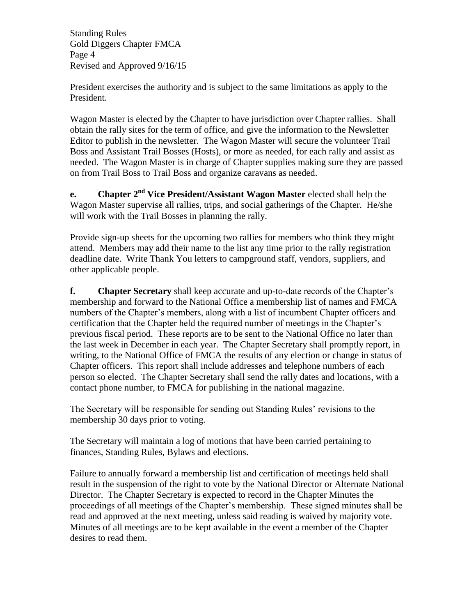Standing Rules Gold Diggers Chapter FMCA Page 4 Revised and Approved 9/16/15

President exercises the authority and is subject to the same limitations as apply to the President.

Wagon Master is elected by the Chapter to have jurisdiction over Chapter rallies. Shall obtain the rally sites for the term of office, and give the information to the Newsletter Editor to publish in the newsletter. The Wagon Master will secure the volunteer Trail Boss and Assistant Trail Bosses (Hosts), or more as needed, for each rally and assist as needed. The Wagon Master is in charge of Chapter supplies making sure they are passed on from Trail Boss to Trail Boss and organize caravans as needed.

**e. Chapter 2nd Vice President/Assistant Wagon Master** elected shall help the Wagon Master supervise all rallies, trips, and social gatherings of the Chapter. He/she will work with the Trail Bosses in planning the rally.

Provide sign-up sheets for the upcoming two rallies for members who think they might attend. Members may add their name to the list any time prior to the rally registration deadline date. Write Thank You letters to campground staff, vendors, suppliers, and other applicable people.

**f. Chapter Secretary** shall keep accurate and up-to-date records of the Chapter's membership and forward to the National Office a membership list of names and FMCA numbers of the Chapter's members, along with a list of incumbent Chapter officers and certification that the Chapter held the required number of meetings in the Chapter's previous fiscal period. These reports are to be sent to the National Office no later than the last week in December in each year. The Chapter Secretary shall promptly report, in writing, to the National Office of FMCA the results of any election or change in status of Chapter officers. This report shall include addresses and telephone numbers of each person so elected. The Chapter Secretary shall send the rally dates and locations, with a contact phone number, to FMCA for publishing in the national magazine.

The Secretary will be responsible for sending out Standing Rules' revisions to the membership 30 days prior to voting.

The Secretary will maintain a log of motions that have been carried pertaining to finances, Standing Rules, Bylaws and elections.

Failure to annually forward a membership list and certification of meetings held shall result in the suspension of the right to vote by the National Director or Alternate National Director. The Chapter Secretary is expected to record in the Chapter Minutes the proceedings of all meetings of the Chapter's membership. These signed minutes shall be read and approved at the next meeting, unless said reading is waived by majority vote. Minutes of all meetings are to be kept available in the event a member of the Chapter desires to read them.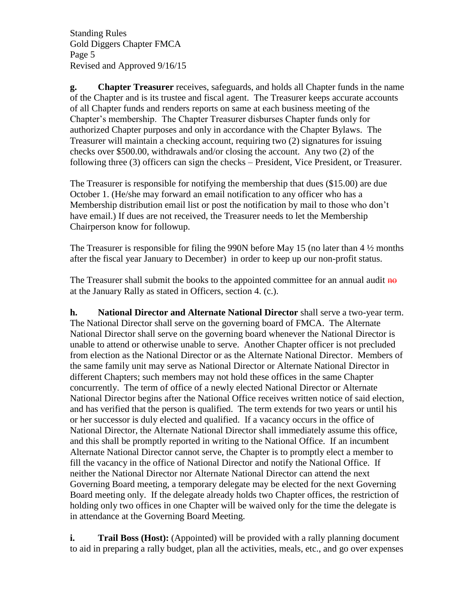Standing Rules Gold Diggers Chapter FMCA Page 5 Revised and Approved 9/16/15

**g. Chapter Treasurer** receives, safeguards, and holds all Chapter funds in the name of the Chapter and is its trustee and fiscal agent. The Treasurer keeps accurate accounts of all Chapter funds and renders reports on same at each business meeting of the Chapter's membership. The Chapter Treasurer disburses Chapter funds only for authorized Chapter purposes and only in accordance with the Chapter Bylaws. The Treasurer will maintain a checking account, requiring two (2) signatures for issuing checks over \$500.00, withdrawals and/or closing the account. Any two (2) of the following three (3) officers can sign the checks – President, Vice President, or Treasurer.

The Treasurer is responsible for notifying the membership that dues (\$15.00) are due October 1. (He/she may forward an email notification to any officer who has a Membership distribution email list or post the notification by mail to those who don't have email.) If dues are not received, the Treasurer needs to let the Membership Chairperson know for followup.

The Treasurer is responsible for filing the 990N before May 15 (no later than  $4\frac{1}{2}$  months after the fiscal year January to December) in order to keep up our non-profit status.

The Treasurer shall submit the books to the appointed committee for an annual audit  $\overline{ho}$ at the January Rally as stated in Officers, section 4. (c.).

**h. National Director and Alternate National Director** shall serve a two-year term. The National Director shall serve on the governing board of FMCA. The Alternate National Director shall serve on the governing board whenever the National Director is unable to attend or otherwise unable to serve. Another Chapter officer is not precluded from election as the National Director or as the Alternate National Director. Members of the same family unit may serve as National Director or Alternate National Director in different Chapters; such members may not hold these offices in the same Chapter concurrently. The term of office of a newly elected National Director or Alternate National Director begins after the National Office receives written notice of said election, and has verified that the person is qualified. The term extends for two years or until his or her successor is duly elected and qualified. If a vacancy occurs in the office of National Director, the Alternate National Director shall immediately assume this office, and this shall be promptly reported in writing to the National Office. If an incumbent Alternate National Director cannot serve, the Chapter is to promptly elect a member to fill the vacancy in the office of National Director and notify the National Office. If neither the National Director nor Alternate National Director can attend the next Governing Board meeting, a temporary delegate may be elected for the next Governing Board meeting only. If the delegate already holds two Chapter offices, the restriction of holding only two offices in one Chapter will be waived only for the time the delegate is in attendance at the Governing Board Meeting.

**i. Trail Boss (Host):** (Appointed) will be provided with a rally planning document to aid in preparing a rally budget, plan all the activities, meals, etc., and go over expenses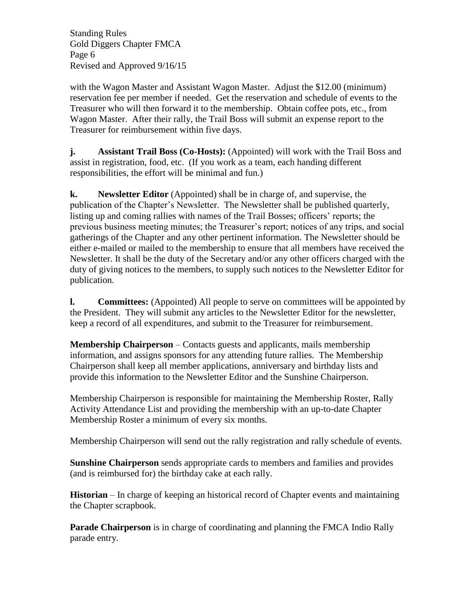Standing Rules Gold Diggers Chapter FMCA Page 6 Revised and Approved 9/16/15

with the Wagon Master and Assistant Wagon Master. Adjust the \$12.00 (minimum) reservation fee per member if needed. Get the reservation and schedule of events to the Treasurer who will then forward it to the membership. Obtain coffee pots, etc., from Wagon Master. After their rally, the Trail Boss will submit an expense report to the Treasurer for reimbursement within five days.

**j. Assistant Trail Boss (Co-Hosts):** (Appointed) will work with the Trail Boss and assist in registration, food, etc. (If you work as a team, each handing different responsibilities, the effort will be minimal and fun.)

**k. Newsletter Editor** (Appointed) shall be in charge of, and supervise, the publication of the Chapter's Newsletter. The Newsletter shall be published quarterly, listing up and coming rallies with names of the Trail Bosses; officers' reports; the previous business meeting minutes; the Treasurer's report; notices of any trips, and social gatherings of the Chapter and any other pertinent information. The Newsletter should be either e-mailed or mailed to the membership to ensure that all members have received the Newsletter. It shall be the duty of the Secretary and/or any other officers charged with the duty of giving notices to the members, to supply such notices to the Newsletter Editor for publication.

**l. Committees:** (Appointed) All people to serve on committees will be appointed by the President. They will submit any articles to the Newsletter Editor for the newsletter, keep a record of all expenditures, and submit to the Treasurer for reimbursement.

**Membership Chairperson** – Contacts guests and applicants, mails membership information, and assigns sponsors for any attending future rallies. The Membership Chairperson shall keep all member applications, anniversary and birthday lists and provide this information to the Newsletter Editor and the Sunshine Chairperson.

Membership Chairperson is responsible for maintaining the Membership Roster, Rally Activity Attendance List and providing the membership with an up-to-date Chapter Membership Roster a minimum of every six months.

Membership Chairperson will send out the rally registration and rally schedule of events.

**Sunshine Chairperson** sends appropriate cards to members and families and provides (and is reimbursed for) the birthday cake at each rally.

**Historian** – In charge of keeping an historical record of Chapter events and maintaining the Chapter scrapbook.

**Parade Chairperson** is in charge of coordinating and planning the FMCA Indio Rally parade entry.